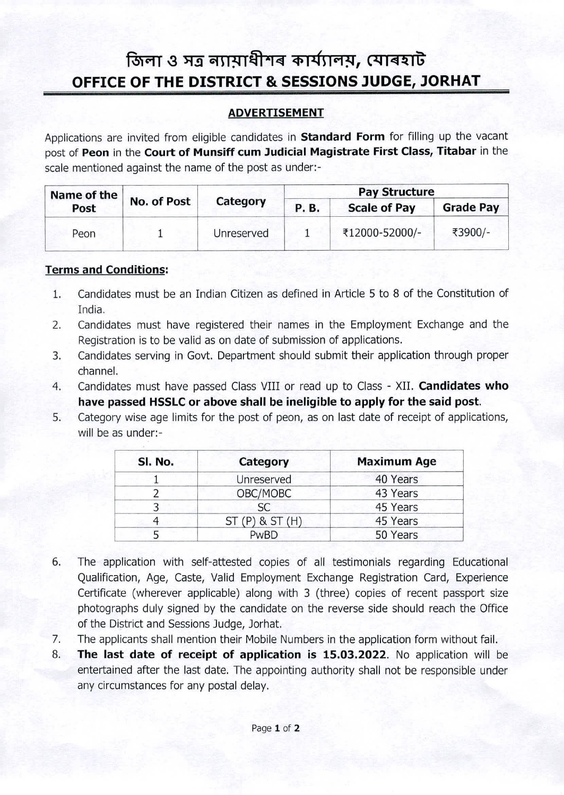## জিলা ও সত্ৰ **ন্যায়াধীশৰ কাৰ্য্যালয়, যোৰহা**ট OFFICE OF THE DISTRICT & SESSIONS JUDGE, JORHAT

## **ADVERTISEMENT**

Applications are invited from eligible candidates in **Standard Form** for filling up the vacant post of **Peon** in the **Court of Munsiff cum Judicial Magistrate First Class, Titabar** in the scale mentioned against the name of the post as under:-

| Name of the |             |            | <b>Pay Structure</b> |                     |                  |
|-------------|-------------|------------|----------------------|---------------------|------------------|
| Post        | No. of Post | Category   | <b>P.B.</b>          | <b>Scale of Pay</b> | <b>Grade Pay</b> |
| Peon        |             | Unreserved |                      | ₹12000-52000/-      | ₹3900/-          |

## **Terms and Conditions:**

- Candidates must be an Indian Citizen as defined in Article 5 to 8 of the Constitution of India. 1.
- Candidates must have registered their names in the Employment Exchange and the Registration is to be valid as on date of submission of applications. 2.
- Candidates serving in Govt. Department should submit their application through proper channel. 3.
- Candidates must have passed Class VIII or read up to Class XII. **Candidates who have passed HSSLC or above shall be ineligible to apply for the said post.** 4.
- Category wise age limits for the post of peon, as on last date of receipt of applications, will be as under:- 5.

| SI. No. | Category          | <b>Maximum Age</b> |
|---------|-------------------|--------------------|
|         | Unreserved        | 40 Years           |
|         | OBC/MOBC          | 43 Years           |
|         | <b>SC</b>         | 45 Years           |
|         | $ST(P)$ & $ST(H)$ | 45 Years           |
|         | PwBD              | 50 Years           |

- The application with self-attested copies of all testimonials regarding Educational Qualification, Age, Caste, Valid Employment Exchange Registration Card, Experience Certificate (wherever applicable) along with 3 (three) copies of recent passport size photographs duly signed by the candidate on the reverse side should reach the Office of the District and Sessions Judge, Jorhat. 6.
- The applicants shall mention their Mobile Numbers in the application form without fail. 7.
- **The last date of receipt of application is 15.03.2022.** No application will be entertained after the last date. The appointing authority shall not be responsible under any circumstances for any postal delay. 8.